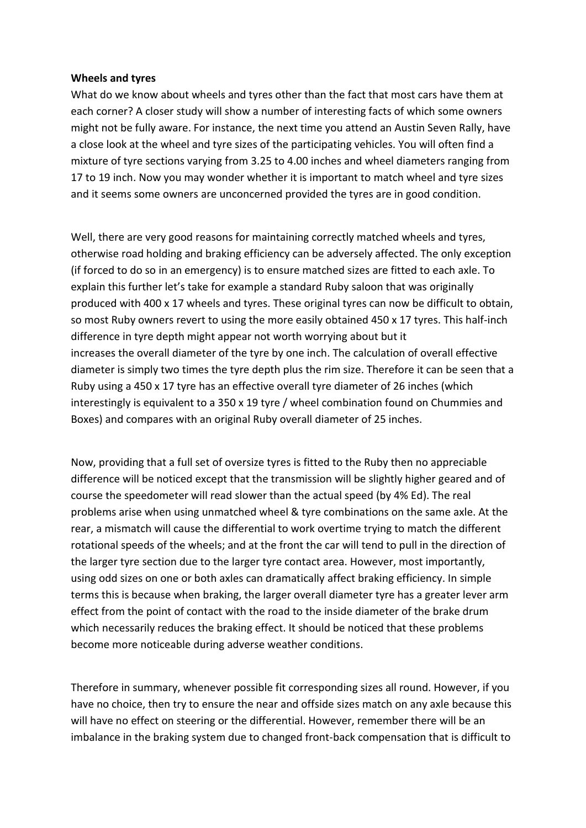## **Wheels and tyres**

What do we know about wheels and tyres other than the fact that most cars have them at each corner? A closer study will show a number of interesting facts of which some owners might not be fully aware. For instance, the next time you attend an Austin Seven Rally, have a close look at the wheel and tyre sizes of the participating vehicles. You will often find a mixture of tyre sections varying from 3.25 to 4.00 inches and wheel diameters ranging from 17 to 19 inch. Now you may wonder whether it is important to match wheel and tyre sizes and it seems some owners are unconcerned provided the tyres are in good condition.

Well, there are very good reasons for maintaining correctly matched wheels and tyres, otherwise road holding and braking efficiency can be adversely affected. The only exception (if forced to do so in an emergency) is to ensure matched sizes are fitted to each axle. To explain this further let's take for example a standard Ruby saloon that was originally produced with 400 x 17 wheels and tyres. These original tyres can now be difficult to obtain, so most Ruby owners revert to using the more easily obtained 450 x 17 tyres. This half-inch difference in tyre depth might appear not worth worrying about but it increases the overall diameter of the tyre by one inch. The calculation of overall effective diameter is simply two times the tyre depth plus the rim size. Therefore it can be seen that a Ruby using a 450 x 17 tyre has an effective overall tyre diameter of 26 inches (which interestingly is equivalent to a 350 x 19 tyre / wheel combination found on Chummies and Boxes) and compares with an original Ruby overall diameter of 25 inches.

Now, providing that a full set of oversize tyres is fitted to the Ruby then no appreciable difference will be noticed except that the transmission will be slightly higher geared and of course the speedometer will read slower than the actual speed (by 4% Ed). The real problems arise when using unmatched wheel & tyre combinations on the same axle. At the rear, a mismatch will cause the differential to work overtime trying to match the different rotational speeds of the wheels; and at the front the car will tend to pull in the direction of the larger tyre section due to the larger tyre contact area. However, most importantly, using odd sizes on one or both axles can dramatically affect braking efficiency. In simple terms this is because when braking, the larger overall diameter tyre has a greater lever arm effect from the point of contact with the road to the inside diameter of the brake drum which necessarily reduces the braking effect. It should be noticed that these problems become more noticeable during adverse weather conditions.

Therefore in summary, whenever possible fit corresponding sizes all round. However, if you have no choice, then try to ensure the near and offside sizes match on any axle because this will have no effect on steering or the differential. However, remember there will be an imbalance in the braking system due to changed front-back compensation that is difficult to